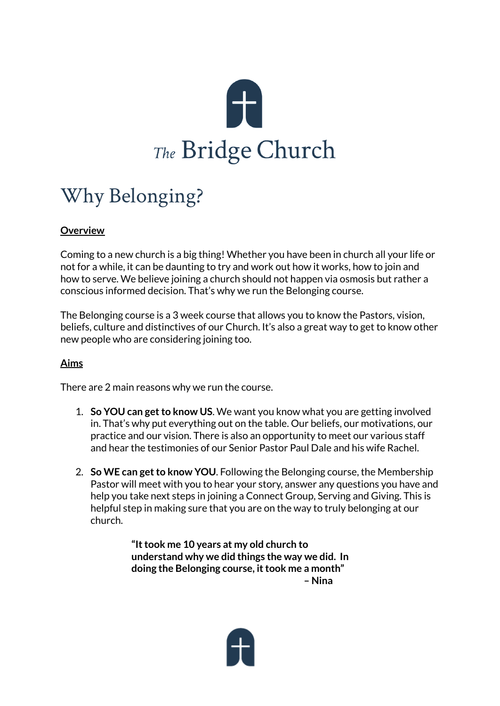

# Why Belonging?

# **Overview**

Coming to a new church is a big thing! Whether you have been in church all your life or not for a while, it can be daunting to try and work out how it works, how to join and how to serve. We believe joining a church should not happen via osmosis but rather a conscious informed decision. That's why we run the Belonging course.

The Belonging course is a 3 week course that allows you to know the Pastors, vision, beliefs, culture and distinctives of our Church. It's also a great way to get to know other new people who are considering joining too.

#### **Aims**

There are 2 main reasons why we run the course.

- 1. **So YOU** can get to know US. We want you know what you are getting involved in. That's why put everything out on the table. Our beliefs, our motivations, our practice and our vision. There is also an opportunity to meet our various staff and hear the testimonies of our Senior Pastor Paul Dale and his wife Rachel.
- 2. **So WE can getto know YOU**. Following the Belonging course, the Membership Pastor will meet with you to hear your story, answer any questions you have and help you take next steps in joining a Connect Group, Serving and Giving. This is helpful step in making sure that you are on the way to truly belonging at our church.

**"Ittook me 10 years at my old church to understand why we did things the way we did. In doing the Belonging course, ittook me a month" – Nina**